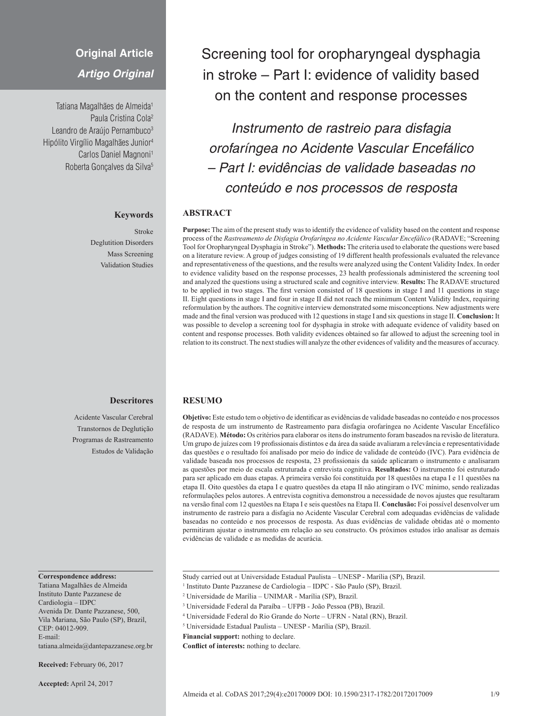# **Original Article**

*Artigo Original*

Tatiana Magalhães de Almeida<sup>1</sup> Paula Cristina Cola2 Leandro de Araújo Pernambuco<sup>3</sup> Hipólito Virgílio Magalhães Junior4 Carlos Daniel Magnoni<sup>1</sup> Roberta Goncalves da Silva<sup>5</sup>

#### **Keywords**

Stroke Deglutition Disorders Mass Screening Validation Studies

## **Descritores**

Acidente Vascular Cerebral Transtornos de Deglutição Programas de Rastreamento Estudos de Validação

#### **Correspondence address:**

Tatiana Magalhães de Almeida Instituto Dante Pazzanese de Cardiologia – IDPC Avenida Dr. Dante Pazzanese, 500, Vila Mariana, São Paulo (SP), Brazil, CEP: 04012-909. E-mail: tatiana.almeida@dantepazzanese.org.br

**Received:** February 06, 2017

**Accepted:** April 24, 2017

Screening tool for oropharyngeal dysphagia in stroke – Part I: evidence of validity based on the content and response processes

*Instrumento de rastreio para disfagia orofaríngea no Acidente Vascular Encefálico – Part I: evidências de validade baseadas no conteúdo e nos processos de resposta*

## **ABSTRACT**

**Purpose:** The aim of the present study was to identify the evidence of validity based on the content and response process of the *Rastreamento de Disfagia Orofaríngea no Acidente Vascular Encefálico* (RADAVE; "Screening Tool for Oropharyngeal Dysphagia in Stroke"). **Methods:** The criteria used to elaborate the questions were based on a literature review. A group of judges consisting of 19 different health professionals evaluated the relevance and representativeness of the questions, and the results were analyzed using the Content Validity Index. In order to evidence validity based on the response processes, 23 health professionals administered the screening tool and analyzed the questions using a structured scale and cognitive interview. **Results:** The RADAVE structured to be applied in two stages. The first version consisted of 18 questions in stage I and 11 questions in stage II. Eight questions in stage I and four in stage II did not reach the minimum Content Validity Index, requiring reformulation by the authors. The cognitive interview demonstrated some misconceptions. New adjustments were made and the final version was produced with 12 questions in stage I and six questions in stage II. **Conclusion:** It was possible to develop a screening tool for dysphagia in stroke with adequate evidence of validity based on content and response processes. Both validity evidences obtained so far allowed to adjust the screening tool in relation to its construct. The next studies will analyze the other evidences of validity and the measures of accuracy.

#### **RESUMO**

**Objetivo:** Este estudo tem o objetivo de identificar as evidências de validade baseadas no conteúdo e nos processos de resposta de um instrumento de Rastreamento para disfagia orofaríngea no Acidente Vascular Encefálico (RADAVE). **Método:** Os critérios para elaborar os itens do instrumento foram baseados na revisão de literatura. Um grupo de juízes com 19 profissionais distintos e da área da saúde avaliaram a relevância e representatividade das questões e o resultado foi analisado por meio do índice de validade de conteúdo (IVC). Para evidência de validade baseada nos processos de resposta, 23 profissionais da saúde aplicaram o instrumento e analisaram as questões por meio de escala estruturada e entrevista cognitiva. **Resultados:** O instrumento foi estruturado para ser aplicado em duas etapas. A primeira versão foi constituída por 18 questões na etapa I e 11 questões na etapa II. Oito questões da etapa I e quatro questões da etapa II não atingiram o IVC mínimo, sendo realizadas reformulações pelos autores. A entrevista cognitiva demonstrou a necessidade de novos ajustes que resultaram na versão final com 12 questões na Etapa I e seis questões na Etapa II. **Conclusão:** Foi possível desenvolver um instrumento de rastreio para a disfagia no Acidente Vascular Cerebral com adequadas evidências de validade baseadas no conteúdo e nos processos de resposta. As duas evidências de validade obtidas até o momento permitiram ajustar o instrumento em relação ao seu constructo. Os próximos estudos irão analisar as demais evidências de validade e as medidas de acurácia.

Study carried out at Universidade Estadual Paulista – UNESP - Marília (SP), Brazil.

- <sup>1</sup> Instituto Dante Pazzanese de Cardiologia IDPC São Paulo (SP), Brazil.
- <sup>2</sup> Universidade de Marília UNIMAR Marília (SP), Brazil.
- <sup>3</sup> Universidade Federal da Paraíba UFPB João Pessoa (PB), Brazil.
- <sup>4</sup> Universidade Federal do Rio Grande do Norte UFRN Natal (RN), Brazil.
- <sup>5</sup> Universidade Estadual Paulista UNESP Marília (SP), Brazil.
- **Financial support:** nothing to declare.

**Conflict of interests:** nothing to declare.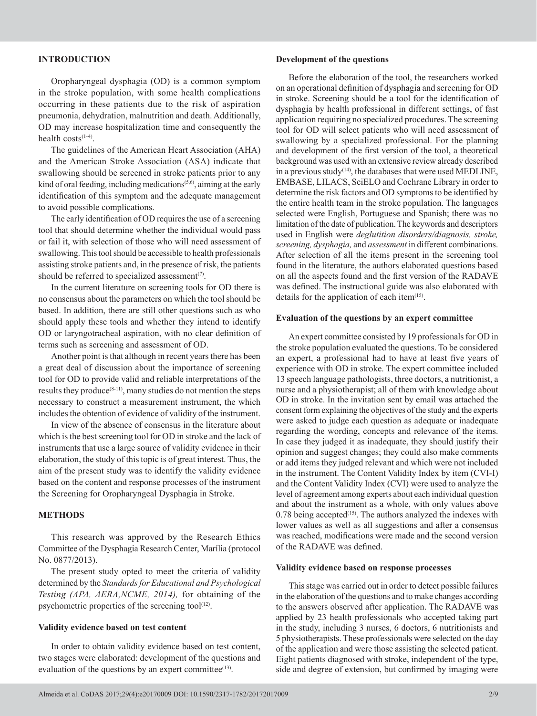### **INTRODUCTION**

Oropharyngeal dysphagia (OD) is a common symptom in the stroke population, with some health complications occurring in these patients due to the risk of aspiration pneumonia, dehydration, malnutrition and death. Additionally, OD may increase hospitalization time and consequently the health  $costs^{(1-4)}$ .

The guidelines of the American Heart Association (AHA) and the American Stroke Association (ASA) indicate that swallowing should be screened in stroke patients prior to any kind of oral feeding, including medications<sup>(5,6)</sup>, aiming at the early identification of this symptom and the adequate management to avoid possible complications.

The early identification of OD requires the use of a screening tool that should determine whether the individual would pass or fail it, with selection of those who will need assessment of swallowing. This tool should be accessible to health professionals assisting stroke patients and, in the presence of risk, the patients should be referred to specialized assessment<sup>(7)</sup>.

In the current literature on screening tools for OD there is no consensus about the parameters on which the tool should be based. In addition, there are still other questions such as who should apply these tools and whether they intend to identify OD or laryngotracheal aspiration, with no clear definition of terms such as screening and assessment of OD.

Another point is that although in recent years there has been a great deal of discussion about the importance of screening tool for OD to provide valid and reliable interpretations of the results they produce $(8-11)$ , many studies do not mention the steps necessary to construct a measurement instrument, the which includes the obtention of evidence of validity of the instrument.

In view of the absence of consensus in the literature about which is the best screening tool for OD in stroke and the lack of instruments that use a large source of validity evidence in their elaboration, the study of this topic is of great interest. Thus, the aim of the present study was to identify the validity evidence based on the content and response processes of the instrument the Screening for Oropharyngeal Dysphagia in Stroke.

#### **METHODS**

This research was approved by the Research Ethics Committee of the Dysphagia Research Center, Marília (protocol No. 0877/2013).

The present study opted to meet the criteria of validity determined by the *Standards for Educational and Psychological Testing (APA, AERA,NCME, 2014),* for obtaining of the psychometric properties of the screening tool $(12)$ .

#### **Validity evidence based on test content**

In order to obtain validity evidence based on test content, two stages were elaborated: development of the questions and evaluation of the questions by an expert committee<sup>(13)</sup>.

#### **Development of the questions**

Before the elaboration of the tool, the researchers worked on an operational definition of dysphagia and screening for OD in stroke. Screening should be a tool for the identification of dysphagia by health professional in different settings, of fast application requiring no specialized procedures. The screening tool for OD will select patients who will need assessment of swallowing by a specialized professional. For the planning and development of the first version of the tool, a theoretical background was used with an extensive review already described in a previous study<sup> $(14)$ </sup>, the databases that were used MEDLINE, EMBASE, LILACS, SciELO and Cochrane Library in order to determine the risk factors and OD symptoms to be identified by the entire health team in the stroke population. The languages selected were English, Portuguese and Spanish; there was no limitation of the date of publication. The keywords and descriptors used in English were *deglutition disorders/diagnosis, stroke, screening, dysphagia,* and *assessment* in different combinations. After selection of all the items present in the screening tool found in the literature, the authors elaborated questions based on all the aspects found and the first version of the RADAVE was defined. The instructional guide was also elaborated with details for the application of each item $(15)$ .

### **Evaluation of the questions by an expert committee**

An expert committee consisted by 19 professionals for OD in the stroke population evaluated the questions. To be considered an expert, a professional had to have at least five years of experience with OD in stroke. The expert committee included 13 speech language pathologists, three doctors, a nutritionist, a nurse and a physiotherapist; all of them with knowledge about OD in stroke. In the invitation sent by email was attached the consent form explaining the objectives of the study and the experts were asked to judge each question as adequate or inadequate regarding the wording, concepts and relevance of the items. In case they judged it as inadequate, they should justify their opinion and suggest changes; they could also make comments or add items they judged relevant and which were not included in the instrument. The Content Validity Index by item (CVI-I) and the Content Validity Index (CVI) were used to analyze the level of agreement among experts about each individual question and about the instrument as a whole, with only values above  $0.78$  being accepted<sup> $(15)$ </sup>. The authors analyzed the indexes with lower values as well as all suggestions and after a consensus was reached, modifications were made and the second version of the RADAVE was defined.

#### **Validity evidence based on response processes**

This stage was carried out in order to detect possible failures in the elaboration of the questions and to make changes according to the answers observed after application. The RADAVE was applied by 23 health professionals who accepted taking part in the study, including 3 nurses, 6 doctors, 6 nutritionists and 5 physiotherapists. These professionals were selected on the day of the application and were those assisting the selected patient. Eight patients diagnosed with stroke, independent of the type, side and degree of extension, but confirmed by imaging were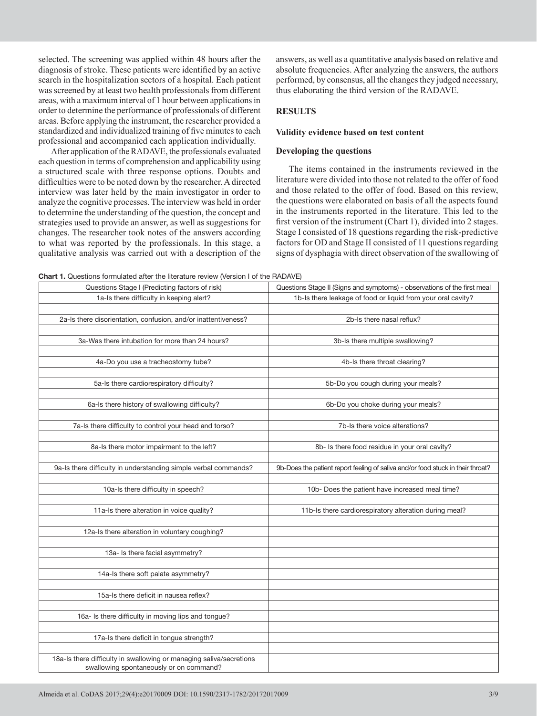selected. The screening was applied within 48 hours after the diagnosis of stroke. These patients were identified by an active search in the hospitalization sectors of a hospital. Each patient was screened by at least two health professionals from different areas, with a maximum interval of 1 hour between applications in order to determine the performance of professionals of different areas. Before applying the instrument, the researcher provided a standardized and individualized training of five minutes to each professional and accompanied each application individually.

After application of the RADAVE, the professionals evaluated each question in terms of comprehension and applicability using a structured scale with three response options. Doubts and difficulties were to be noted down by the researcher. A directed interview was later held by the main investigator in order to analyze the cognitive processes. The interview was held in order to determine the understanding of the question, the concept and strategies used to provide an answer, as well as suggestions for changes. The researcher took notes of the answers according to what was reported by the professionals. In this stage, a qualitative analysis was carried out with a description of the

answers, as well as a quantitative analysis based on relative and absolute frequencies. After analyzing the answers, the authors performed, by consensus, all the changes they judged necessary, thus elaborating the third version of the RADAVE.

## **RESULTS**

#### **Validity evidence based on test content**

## **Developing the questions**

The items contained in the instruments reviewed in the literature were divided into those not related to the offer of food and those related to the offer of food. Based on this review, the questions were elaborated on basis of all the aspects found in the instruments reported in the literature. This led to the first version of the instrument (Chart 1), divided into 2 stages. Stage I consisted of 18 questions regarding the risk-predictive factors for OD and Stage II consisted of 11 questions regarding signs of dysphagia with direct observation of the swallowing of

**Chart 1.** Questions formulated after the literature review (Version I of the RADAVE)

| <b>Than C</b> T. Questions formulated anter the increature review (version For the Figure E)<br>Questions Stage I (Predicting factors of risk) | Questions Stage II (Signs and symptoms) - observations of the first meal        |  |  |  |
|------------------------------------------------------------------------------------------------------------------------------------------------|---------------------------------------------------------------------------------|--|--|--|
| 1a-Is there difficulty in keeping alert?                                                                                                       | 1b-Is there leakage of food or liquid from your oral cavity?                    |  |  |  |
|                                                                                                                                                |                                                                                 |  |  |  |
| 2a-Is there disorientation, confusion, and/or inattentiveness?                                                                                 | 2b-Is there nasal reflux?                                                       |  |  |  |
|                                                                                                                                                |                                                                                 |  |  |  |
| 3a-Was there intubation for more than 24 hours?                                                                                                | 3b-Is there multiple swallowing?                                                |  |  |  |
|                                                                                                                                                |                                                                                 |  |  |  |
| 4a-Do you use a tracheostomy tube?                                                                                                             | 4b-Is there throat clearing?                                                    |  |  |  |
|                                                                                                                                                |                                                                                 |  |  |  |
| 5a-Is there cardiorespiratory difficulty?                                                                                                      | 5b-Do you cough during your meals?                                              |  |  |  |
|                                                                                                                                                |                                                                                 |  |  |  |
| 6a-Is there history of swallowing difficulty?                                                                                                  | 6b-Do you choke during your meals?                                              |  |  |  |
|                                                                                                                                                |                                                                                 |  |  |  |
| 7a-Is there difficulty to control your head and torso?                                                                                         | 7b-Is there voice alterations?                                                  |  |  |  |
|                                                                                                                                                |                                                                                 |  |  |  |
| 8a-Is there motor impairment to the left?                                                                                                      | 8b- Is there food residue in your oral cavity?                                  |  |  |  |
|                                                                                                                                                |                                                                                 |  |  |  |
| 9a-Is there difficulty in understanding simple verbal commands?                                                                                | 9b-Does the patient report feeling of saliva and/or food stuck in their throat? |  |  |  |
|                                                                                                                                                |                                                                                 |  |  |  |
| 10a-Is there difficulty in speech?                                                                                                             | 10b- Does the patient have increased meal time?                                 |  |  |  |
| 11a-Is there alteration in voice quality?                                                                                                      | 11b-Is there cardiorespiratory alteration during meal?                          |  |  |  |
|                                                                                                                                                |                                                                                 |  |  |  |
| 12a-Is there alteration in voluntary coughing?                                                                                                 |                                                                                 |  |  |  |
|                                                                                                                                                |                                                                                 |  |  |  |
| 13a- Is there facial asymmetry?                                                                                                                |                                                                                 |  |  |  |
|                                                                                                                                                |                                                                                 |  |  |  |
| 14a-Is there soft palate asymmetry?                                                                                                            |                                                                                 |  |  |  |
|                                                                                                                                                |                                                                                 |  |  |  |
| 15a-ls there deficit in nausea reflex?                                                                                                         |                                                                                 |  |  |  |
|                                                                                                                                                |                                                                                 |  |  |  |
| 16a- Is there difficulty in moving lips and tongue?                                                                                            |                                                                                 |  |  |  |
|                                                                                                                                                |                                                                                 |  |  |  |
| 17a-Is there deficit in tongue strength?                                                                                                       |                                                                                 |  |  |  |
|                                                                                                                                                |                                                                                 |  |  |  |
| 18a-Is there difficulty in swallowing or managing saliva/secretions<br>swallowing spontaneously or on command?                                 |                                                                                 |  |  |  |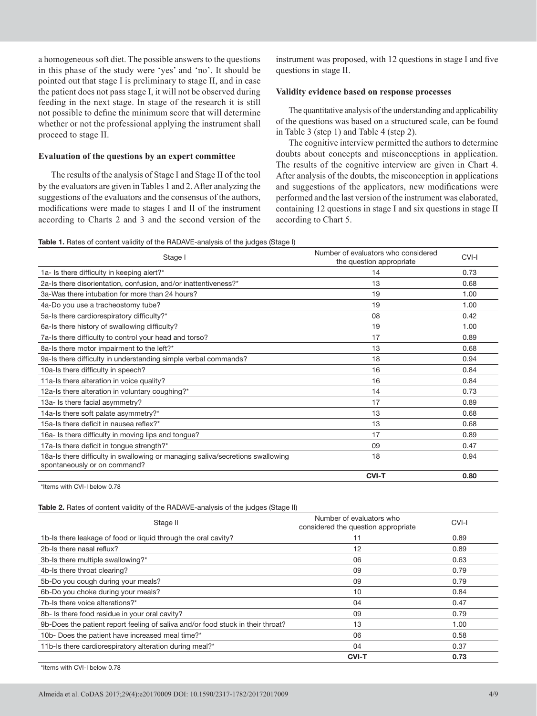a homogeneous soft diet. The possible answers to the questions in this phase of the study were 'yes' and 'no'. It should be pointed out that stage I is preliminary to stage II, and in case the patient does not pass stage I, it will not be observed during feeding in the next stage. In stage of the research it is still not possible to define the minimum score that will determine whether or not the professional applying the instrument shall proceed to stage II.

### **Evaluation of the questions by an expert committee**

The results of the analysis of Stage I and Stage II of the tool by the evaluators are given in Tables 1 and 2. After analyzing the suggestions of the evaluators and the consensus of the authors, modifications were made to stages I and II of the instrument according to Charts 2 and 3 and the second version of the

instrument was proposed, with 12 questions in stage I and five questions in stage II.

### **Validity evidence based on response processes**

The quantitative analysis of the understanding and applicability of the questions was based on a structured scale, can be found in Table 3 (step 1) and Table 4 (step 2).

The cognitive interview permitted the authors to determine doubts about concepts and misconceptions in application. The results of the cognitive interview are given in Chart 4. After analysis of the doubts, the misconception in applications and suggestions of the applicators, new modifications were performed and the last version of the instrument was elaborated, containing 12 questions in stage I and six questions in stage II according to Chart 5.

**Table 1.** Rates of content validity of the RADAVE-analysis of the judges (Stage I)

| Stage I                                                                                                        | Number of evaluators who considered<br>the question appropriate | CVI-I |
|----------------------------------------------------------------------------------------------------------------|-----------------------------------------------------------------|-------|
| 1a- Is there difficulty in keeping alert?*                                                                     | 14                                                              | 0.73  |
| 2a-Is there disorientation, confusion, and/or inattentiveness?*                                                | 13                                                              | 0.68  |
| 3a-Was there intubation for more than 24 hours?                                                                | 19                                                              | 1.00  |
| 4a-Do you use a tracheostomy tube?                                                                             | 19                                                              | 1.00  |
| 5a-Is there cardiorespiratory difficulty?*                                                                     | 08                                                              | 0.42  |
| 6a-Is there history of swallowing difficulty?                                                                  | 19                                                              | 1.00  |
| 7a-Is there difficulty to control your head and torso?                                                         | 17                                                              | 0.89  |
| 8a-Is there motor impairment to the left?*                                                                     | 13                                                              | 0.68  |
| 9a-Is there difficulty in understanding simple verbal commands?                                                | 18                                                              | 0.94  |
| 10a-Is there difficulty in speech?                                                                             | 16                                                              | 0.84  |
| 11a-Is there alteration in voice quality?                                                                      | 16                                                              | 0.84  |
| 12a-Is there alteration in voluntary coughing?*                                                                | 14                                                              | 0.73  |
| 13a- Is there facial asymmetry?                                                                                | 17                                                              | 0.89  |
| 14a-Is there soft palate asymmetry?*                                                                           | 13                                                              | 0.68  |
| 15a-Is there deficit in nausea reflex?*                                                                        | 13                                                              | 0.68  |
| 16a- Is there difficulty in moving lips and tongue?                                                            | 17                                                              | 0.89  |
| 17a-Is there deficit in tongue strength?*                                                                      | 09                                                              | 0.47  |
| 18a-Is there difficulty in swallowing or managing saliva/secretions swallowing<br>spontaneously or on command? | 18                                                              | 0.94  |
|                                                                                                                | <b>CVI-T</b>                                                    | 0.80  |

\*Items with CVI-I below 0.78

### **Table 2.** Rates of content validity of the RADAVE-analysis of the judges (Stage II)

| Stage II                                                                        | Number of evaluators who<br>considered the question appropriate | CVI-I |
|---------------------------------------------------------------------------------|-----------------------------------------------------------------|-------|
| 1b-Is there leakage of food or liquid through the oral cavity?                  | 11                                                              | 0.89  |
| 2b-Is there nasal reflux?                                                       | 12                                                              | 0.89  |
| 3b-Is there multiple swallowing?*                                               | 06                                                              | 0.63  |
| 4b-Is there throat clearing?                                                    | 09                                                              | 0.79  |
| 5b-Do you cough during your meals?                                              | 09                                                              | 0.79  |
| 6b-Do you choke during your meals?                                              | 10                                                              | 0.84  |
| 7b-Is there voice alterations?*                                                 | 04                                                              | 0.47  |
| 8b- Is there food residue in your oral cavity?                                  | 09                                                              | 0.79  |
| 9b-Does the patient report feeling of saliva and/or food stuck in their throat? | 13                                                              | 1.00  |
| 10b- Does the patient have increased meal time?*                                | 06                                                              | 0.58  |
| 11b-Is there cardiorespiratory alteration during meal?*                         | 04                                                              | 0.37  |
|                                                                                 | <b>CVI-T</b>                                                    | 0.73  |

\*Items with CVI-I below 0.78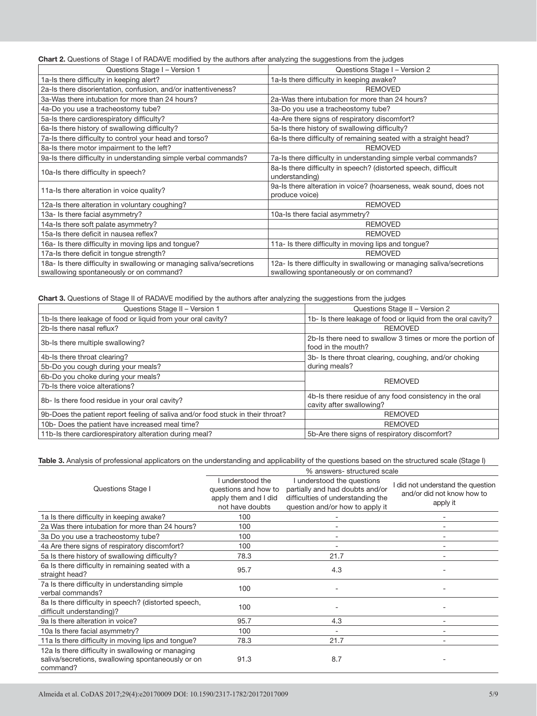**Chart 2.** Questions of Stage I of RADAVE modified by the authors after analyzing the suggestions from the judges

| Questions Stage I - Version 1                                                                                   | Questions Stage I - Version 2                                                                                   |
|-----------------------------------------------------------------------------------------------------------------|-----------------------------------------------------------------------------------------------------------------|
| 1a-Is there difficulty in keeping alert?                                                                        | 1a-Is there difficulty in keeping awake?                                                                        |
| 2a-Is there disorientation, confusion, and/or inattentiveness?                                                  | <b>REMOVED</b>                                                                                                  |
| 3a-Was there intubation for more than 24 hours?                                                                 | 2a-Was there intubation for more than 24 hours?                                                                 |
| 4a-Do you use a tracheostomy tube?                                                                              | 3a-Do you use a tracheostomy tube?                                                                              |
| 5a-Is there cardiorespiratory difficulty?                                                                       | 4a-Are there signs of respiratory discomfort?                                                                   |
| 6a-Is there history of swallowing difficulty?                                                                   | 5a-Is there history of swallowing difficulty?                                                                   |
| 7a-Is there difficulty to control your head and torso?                                                          | 6a-Is there difficulty of remaining seated with a straight head?                                                |
| 8a-Is there motor impairment to the left?                                                                       | <b>REMOVED</b>                                                                                                  |
| 9a-Is there difficulty in understanding simple verbal commands?                                                 | 7a-Is there difficulty in understanding simple verbal commands?                                                 |
| 10a-Is there difficulty in speech?                                                                              | 8a-Is there difficulty in speech? (distorted speech, difficult<br>understanding)                                |
| 11a-Is there alteration in voice quality?                                                                       | 9a-Is there alteration in voice? (hoarseness, weak sound, does not<br>produce voice)                            |
| 12a-Is there alteration in voluntary coughing?                                                                  | <b>REMOVED</b>                                                                                                  |
| 13a- Is there facial asymmetry?                                                                                 | 10a-Is there facial asymmetry?                                                                                  |
| 14a-Is there soft palate asymmetry?                                                                             | <b>REMOVED</b>                                                                                                  |
| 15a-Is there deficit in nausea reflex?                                                                          | <b>REMOVED</b>                                                                                                  |
| 16a- Is there difficulty in moving lips and tongue?                                                             | 11a- Is there difficulty in moving lips and tongue?                                                             |
| 17a-Is there deficit in tongue strength?                                                                        | <b>REMOVED</b>                                                                                                  |
| 18a- Is there difficulty in swallowing or managing saliva/secretions<br>swallowing spontaneously or on command? | 12a- Is there difficulty in swallowing or managing saliva/secretions<br>swallowing spontaneously or on command? |

**Chart 3.** Questions of Stage II of RADAVE modified by the authors after analyzing the suggestions from the judges

| Questions Stage II - Version 1                                                  | Questions Stage II - Version 2                                                      |
|---------------------------------------------------------------------------------|-------------------------------------------------------------------------------------|
| 1b-Is there leakage of food or liquid from your oral cavity?                    | 1b- Is there leakage of food or liquid from the oral cavity?                        |
| 2b-Is there nasal reflux?                                                       | <b>REMOVED</b>                                                                      |
| 3b-Is there multiple swallowing?                                                | 2b-Is there need to swallow 3 times or more the portion of<br>food in the mouth?    |
| 4b-Is there throat clearing?                                                    | 3b- Is there throat clearing, coughing, and/or choking                              |
| 5b-Do you cough during your meals?                                              | during meals?                                                                       |
| 6b-Do you choke during your meals?                                              | <b>REMOVED</b>                                                                      |
| 7b-Is there voice alterations?                                                  |                                                                                     |
| 8b- Is there food residue in your oral cavity?                                  | 4b-Is there residue of any food consistency in the oral<br>cavity after swallowing? |
| 9b-Does the patient report feeling of saliva and/or food stuck in their throat? | <b>REMOVED</b>                                                                      |
| 10b- Does the patient have increased meal time?                                 | <b>REMOVED</b>                                                                      |
| 11b-Is there cardiorespiratory alteration during meal?                          | 5b-Are there signs of respiratory discomfort?                                       |

### **Table 3.** Analysis of professional applicators on the understanding and applicability of the questions based on the structured scale (Stage I)

|                                                                                                                    | % answers-structured scale                                       |                                                                                                    |                                                                 |  |  |
|--------------------------------------------------------------------------------------------------------------------|------------------------------------------------------------------|----------------------------------------------------------------------------------------------------|-----------------------------------------------------------------|--|--|
| Questions Stage I                                                                                                  | I understood the<br>questions and how to<br>apply them and I did | I understood the questions<br>partially and had doubts and/or<br>difficulties of understanding the | I did not understand the question<br>and/or did not know how to |  |  |
|                                                                                                                    | not have doubts                                                  | question and/or how to apply it                                                                    | apply it                                                        |  |  |
| 1a Is there difficulty in keeping awake?                                                                           | 100                                                              |                                                                                                    |                                                                 |  |  |
| 2a Was there intubation for more than 24 hours?                                                                    | 100                                                              |                                                                                                    |                                                                 |  |  |
| 3a Do you use a tracheostomy tube?                                                                                 | 100                                                              |                                                                                                    |                                                                 |  |  |
| 4a Are there signs of respiratory discomfort?                                                                      | 100                                                              |                                                                                                    |                                                                 |  |  |
| 5a Is there history of swallowing difficulty?                                                                      | 78.3                                                             | 21.7                                                                                               | ۰                                                               |  |  |
| 6a Is there difficulty in remaining seated with a<br>straight head?                                                | 95.7                                                             | 4.3                                                                                                |                                                                 |  |  |
| 7a Is there difficulty in understanding simple<br>verbal commands?                                                 | 100                                                              |                                                                                                    |                                                                 |  |  |
| 8a Is there difficulty in speech? (distorted speech,<br>difficult understanding)?                                  | 100                                                              |                                                                                                    |                                                                 |  |  |
| 9a Is there alteration in voice?                                                                                   | 95.7                                                             | 4.3                                                                                                | ۰                                                               |  |  |
| 10a Is there facial asymmetry?                                                                                     | 100                                                              |                                                                                                    |                                                                 |  |  |
| 11a Is there difficulty in moving lips and tongue?                                                                 | 78.3                                                             | 21.7                                                                                               |                                                                 |  |  |
| 12a Is there difficulty in swallowing or managing<br>saliva/secretions, swallowing spontaneously or on<br>command? | 91.3                                                             | 8.7                                                                                                |                                                                 |  |  |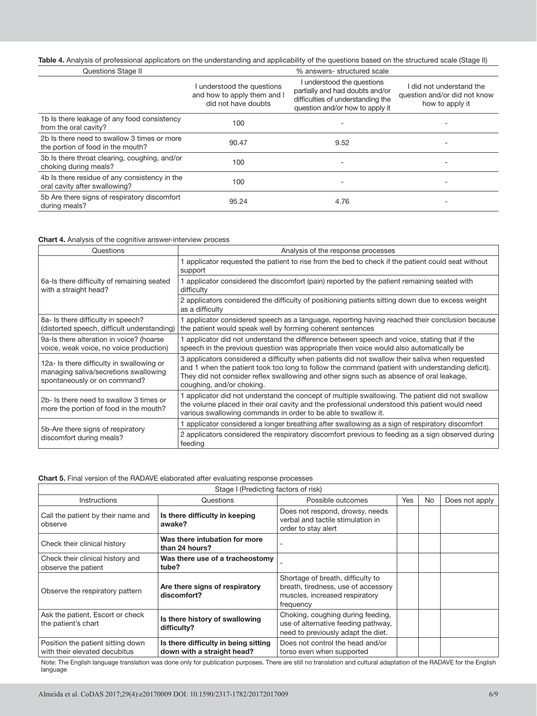## Table 4. Analysis of professional applicators on the understanding and applicability of the questions based on the structured scale (Stage II)

| Questions Stage II                                                               |                                                                                  | % answers-structured scale                                                                                                            |                                                                           |
|----------------------------------------------------------------------------------|----------------------------------------------------------------------------------|---------------------------------------------------------------------------------------------------------------------------------------|---------------------------------------------------------------------------|
|                                                                                  | I understood the questions<br>and how to apply them and I<br>did not have doubts | I understood the questions<br>partially and had doubts and/or<br>difficulties of understanding the<br>question and/or how to apply it | did not understand the<br>question and/or did not know<br>how to apply it |
| 1b Is there leakage of any food consistency<br>from the oral cavity?             | 100                                                                              |                                                                                                                                       |                                                                           |
| 2b Is there need to swallow 3 times or more<br>the portion of food in the mouth? | 90.47                                                                            | 9.52                                                                                                                                  |                                                                           |
| 3b Is there throat clearing, coughing, and/or<br>choking during meals?           | 100                                                                              | ۰                                                                                                                                     |                                                                           |
| 4b Is there residue of any consistency in the<br>oral cavity after swallowing?   | 100                                                                              | ٠                                                                                                                                     |                                                                           |
| 5b Are there signs of respiratory discomfort<br>during meals?                    | 95.24                                                                            | 4.76                                                                                                                                  |                                                                           |

### **Chart 4.** Analysis of the cognitive answer-interview process

| Questions                                                                                                          | Analysis of the response processes                                                                                                                                                                                                                                                                                           |  |  |
|--------------------------------------------------------------------------------------------------------------------|------------------------------------------------------------------------------------------------------------------------------------------------------------------------------------------------------------------------------------------------------------------------------------------------------------------------------|--|--|
|                                                                                                                    | 1 applicator requested the patient to rise from the bed to check if the patient could seat without<br>support                                                                                                                                                                                                                |  |  |
| 6a-Is there difficulty of remaining seated<br>with a straight head?                                                | 1 applicator considered the discomfort (pain) reported by the patient remaining seated with<br>difficulty                                                                                                                                                                                                                    |  |  |
|                                                                                                                    | 2 applicators considered the difficulty of positioning patients sitting down due to excess weight<br>as a difficulty                                                                                                                                                                                                         |  |  |
| 8a- Is there difficulty in speech?<br>(distorted speech, difficult understanding)                                  | 1 applicator considered speech as a language, reporting having reached their conclusion because<br>the patient would speak well by forming coherent sentences                                                                                                                                                                |  |  |
| 9a-Is there alteration in voice? (hoarse<br>voice, weak voice, no voice production)                                | 1 applicator did not understand the difference between speech and voice, stating that if the<br>speech in the previous question was appropriate then voice would also automatically be                                                                                                                                       |  |  |
| 12a- Is there difficulty in swallowing or<br>managing saliva/secretions swallowing<br>spontaneously or on command? | 3 applicators considered a difficulty when patients did not swallow their saliva when requested<br>and 1 when the patient took too long to follow the command (patient with understanding deficit).<br>They did not consider reflex swallowing and other signs such as absence of oral leakage,<br>coughing, and/or choking. |  |  |
| 2b- Is there need to swallow 3 times or<br>more the portion of food in the mouth?                                  | 1 applicator did not understand the concept of multiple swallowing. The patient did not swallow<br>the volume placed in their oral cavity and the professional understood this patient would need<br>various swallowing commands in order to be able to swallow it.                                                          |  |  |
|                                                                                                                    | 1 applicator considered a longer breathing after swallowing as a sign of respiratory discomfort                                                                                                                                                                                                                              |  |  |
| 5b-Are there signs of respiratory<br>discomfort during meals?                                                      | 2 applicators considered the respiratory discomfort previous to feeding as a sign observed during<br>feeding                                                                                                                                                                                                                 |  |  |

## **Chart 5.** Final version of the RADAVE elaborated after evaluating response processes

| Stage I (Predicting factors of risk)                               |                                                                    |                                                                                                                         |     |           |                |
|--------------------------------------------------------------------|--------------------------------------------------------------------|-------------------------------------------------------------------------------------------------------------------------|-----|-----------|----------------|
| Instructions                                                       | Questions                                                          | Possible outcomes                                                                                                       | Yes | <b>No</b> | Does not apply |
| Call the patient by their name and<br>observe                      | Is there difficulty in keeping<br>awake?                           | Does not respond, drowsy, needs<br>verbal and tactile stimulation in<br>order to stay alert                             |     |           |                |
| Check their clinical history                                       | Was there intubation for more<br>than 24 hours?                    | ۰                                                                                                                       |     |           |                |
| Check their clinical history and<br>observe the patient            | Was there use of a tracheostomy<br>tube?                           |                                                                                                                         |     |           |                |
| Observe the respiratory pattern                                    | Are there signs of respiratory<br>discomfort?                      | Shortage of breath, difficulty to<br>breath, tiredness, use of accessory<br>muscles, increased respiratory<br>frequency |     |           |                |
| Ask the patient, Escort or check<br>the patient's chart            | Is there history of swallowing<br>difficulty?                      | Choking, coughing during feeding,<br>use of alternative feeding pathway.<br>need to previously adapt the diet.          |     |           |                |
| Position the patient sitting down<br>with their elevated decubitus | Is there difficulty in being sitting<br>down with a straight head? | Does not control the head and/or<br>torso even when supported                                                           |     |           |                |

Note: The English language translation was done only for publication purposes. There are still no translation and cultural adaptation of the RADAVE for the English language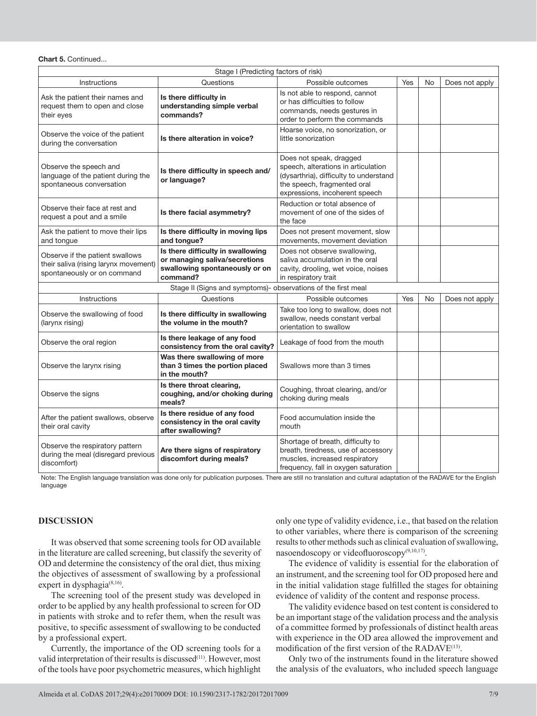#### **Chart 5.** Continued...

| Stage I (Predicting factors of risk)                                                                    |                                                                                                                  |                                                                                                                                                                           |     |    |                |
|---------------------------------------------------------------------------------------------------------|------------------------------------------------------------------------------------------------------------------|---------------------------------------------------------------------------------------------------------------------------------------------------------------------------|-----|----|----------------|
| Instructions                                                                                            | Questions                                                                                                        | Possible outcomes                                                                                                                                                         | Yes | No | Does not apply |
| Ask the patient their names and<br>request them to open and close<br>their eyes                         | Is there difficulty in<br>understanding simple verbal<br>commands?                                               | Is not able to respond, cannot<br>or has difficulties to follow<br>commands, needs gestures in<br>order to perform the commands                                           |     |    |                |
| Observe the voice of the patient<br>during the conversation                                             | Is there alteration in voice?                                                                                    | Hoarse voice, no sonorization, or<br>little sonorization                                                                                                                  |     |    |                |
| Observe the speech and<br>language of the patient during the<br>spontaneous conversation                | Is there difficulty in speech and/<br>or language?                                                               | Does not speak, dragged<br>speech, alterations in articulation<br>(dysarthria), difficulty to understand<br>the speech, fragmented oral<br>expressions, incoherent speech |     |    |                |
| Observe their face at rest and<br>request a pout and a smile                                            | Is there facial asymmetry?                                                                                       | Reduction or total absence of<br>movement of one of the sides of<br>the face                                                                                              |     |    |                |
| Ask the patient to move their lips<br>and tongue                                                        | Is there difficulty in moving lips<br>and tongue?                                                                | Does not present movement, slow<br>movements, movement deviation                                                                                                          |     |    |                |
| Observe if the patient swallows<br>their saliva (rising larynx movement)<br>spontaneously or on command | Is there difficulty in swallowing<br>or managing saliva/secretions<br>swallowing spontaneously or on<br>command? | Does not observe swallowing,<br>saliva accumulation in the oral<br>cavity, drooling, wet voice, noises<br>in respiratory trait                                            |     |    |                |
|                                                                                                         | Stage II (Signs and symptoms)- observations of the first meal                                                    |                                                                                                                                                                           |     |    |                |
| Instructions                                                                                            | Questions                                                                                                        | Possible outcomes                                                                                                                                                         | Yes | No | Does not apply |
| Observe the swallowing of food<br>(larynx rising)                                                       | Is there difficulty in swallowing<br>the volume in the mouth?                                                    | Take too long to swallow, does not<br>swallow, needs constant verbal<br>orientation to swallow                                                                            |     |    |                |
| Observe the oral region                                                                                 | Is there leakage of any food<br>consistency from the oral cavity?                                                | Leakage of food from the mouth                                                                                                                                            |     |    |                |
| Observe the larynx rising                                                                               | Was there swallowing of more<br>than 3 times the portion placed<br>in the mouth?                                 | Swallows more than 3 times                                                                                                                                                |     |    |                |
| Observe the signs                                                                                       | Is there throat clearing,<br>coughing, and/or choking during<br>meals?                                           | Coughing, throat clearing, and/or<br>choking during meals                                                                                                                 |     |    |                |
| After the patient swallows, observe<br>their oral cavity                                                | Is there residue of any food<br>consistency in the oral cavity<br>after swallowing?                              | Food accumulation inside the<br>mouth                                                                                                                                     |     |    |                |
| Observe the respiratory pattern<br>during the meal (disregard previous<br>discomfort)                   | Are there signs of respiratory<br>discomfort during meals?                                                       | Shortage of breath, difficulty to<br>breath, tiredness, use of accessory<br>muscles, increased respiratory<br>frequency, fall in oxygen saturation                        |     |    |                |

Note: The English language translation was done only for publication purposes. There are still no translation and cultural adaptation of the RADAVE for the English language

## **DISCUSSION**

It was observed that some screening tools for OD available in the literature are called screening, but classify the severity of OD and determine the consistency of the oral diet, thus mixing the objectives of assessment of swallowing by a professional expert in dysphagia<sup>(8,16)</sup>.

The screening tool of the present study was developed in order to be applied by any health professional to screen for OD in patients with stroke and to refer them, when the result was positive, to specific assessment of swallowing to be conducted by a professional expert.

Currently, the importance of the OD screening tools for a valid interpretation of their results is discussed<sup>(11)</sup>. However, most of the tools have poor psychometric measures, which highlight

only one type of validity evidence, i.e., that based on the relation to other variables, where there is comparison of the screening results to other methods such as clinical evaluation of swallowing, nasoendoscopy or videofluoroscopy<sup>(9,10,17)</sup>.

The evidence of validity is essential for the elaboration of an instrument, and the screening tool for OD proposed here and in the initial validation stage fulfilled the stages for obtaining evidence of validity of the content and response process.

The validity evidence based on test content is considered to be an important stage of the validation process and the analysis of a committee formed by professionals of distinct health areas with experience in the OD area allowed the improvement and modification of the first version of the RADAVE<sup>(13)</sup>.

Only two of the instruments found in the literature showed the analysis of the evaluators, who included speech language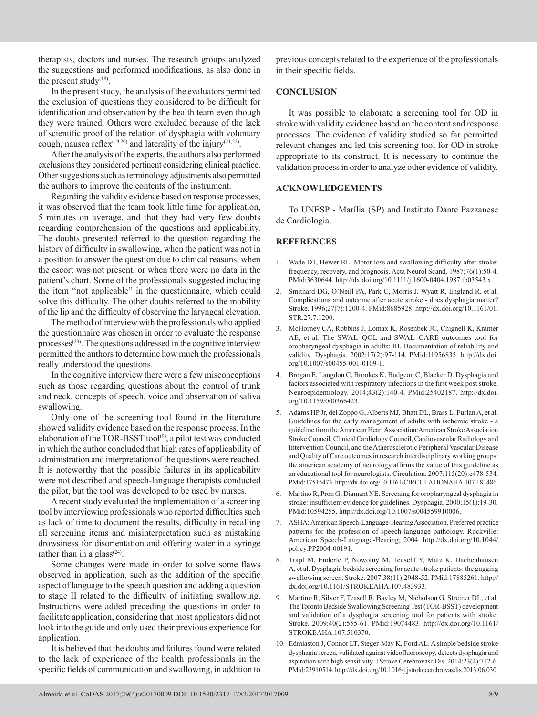therapists, doctors and nurses. The research groups analyzed the suggestions and performed modifications, as also done in the present study $(18)$ .

In the present study, the analysis of the evaluators permitted the exclusion of questions they considered to be difficult for identification and observation by the health team even though they were trained. Others were excluded because of the lack of scientific proof of the relation of dysphagia with voluntary cough, nausea reflex<sup>(19,20)</sup> and laterality of the injury<sup>(21,22)</sup>.

After the analysis of the experts, the authors also performed exclusions they considered pertinent considering clinical practice. Other suggestions such as terminology adjustments also permitted the authors to improve the contents of the instrument.

Regarding the validity evidence based on response processes, it was observed that the team took little time for application, 5 minutes on average, and that they had very few doubts regarding comprehension of the questions and applicability. The doubts presented referred to the question regarding the history of difficulty in swallowing, when the patient was not in a position to answer the question due to clinical reasons, when the escort was not present, or when there were no data in the patient's chart. Some of the professionals suggested including the item "not applicable" in the questionnaire, which could solve this difficulty. The other doubts referred to the mobility of the lip and the difficulty of observing the laryngeal elevation.

The method of interview with the professionals who applied the questionnaire was chosen in order to evaluate the response processes<sup>(23)</sup>. The questions addressed in the cognitive interview permitted the authors to determine how much the professionals really understood the questions.

In the cognitive interview there were a few misconceptions such as those regarding questions about the control of trunk and neck, concepts of speech, voice and observation of saliva swallowing.

Only one of the screening tool found in the literature showed validity evidence based on the response process. In the elaboration of the TOR-BSST tool<sup>(9)</sup>, a pilot test was conducted in which the author concluded that high rates of applicability of administration and interpretation of the questions were reached. It is noteworthy that the possible failures in its applicability were not described and speech-language therapists conducted the pilot, but the tool was developed to be used by nurses.

A recent study evaluated the implementation of a screening tool by interviewing professionals who reported difficulties such as lack of time to document the results, difficulty in recalling all screening items and misinterpretation such as mistaking drowsiness for disorientation and offering water in a syringe rather than in a glass $(24)$ .

Some changes were made in order to solve some flaws observed in application, such as the addition of the specific aspect of language to the speech question and adding a question to stage II related to the difficulty of initiating swallowing. Instructions were added preceding the questions in order to facilitate application, considering that most applicators did not look into the guide and only used their previous experience for application.

It is believed that the doubts and failures found were related to the lack of experience of the health professionals in the specific fields of communication and swallowing, in addition to

previous concepts related to the experience of the professionals in their specific fields.

## **CONCLUSION**

It was possible to elaborate a screening tool for OD in stroke with validity evidence based on the content and response processes. The evidence of validity studied so far permitted relevant changes and led this screening tool for OD in stroke appropriate to its construct. It is necessary to continue the validation process in order to analyze other evidence of validity.

### **ACKNOWLEDGEMENTS**

To UNESP - Marília (SP) and Instituto Dante Pazzanese de Cardiologia.

## **REFERENCES**

- 1. Wade DT, Hewer RL. Motor loss and swallowing difficulty after stroke: frequency, recovery, and prognosis. Acta Neurol Scand. 1987;76(1):50-4. [PMid:3630644.](http://www.ncbi.nlm.nih.gov/entrez/query.fcgi?cmd=Retrieve&db=PubMed&list_uids=3630644&dopt=Abstract) [http://dx.doi.org/10.1111/j.1600-0404.1987.tb03543.x.](http://dx.doi.org/10.1111/j.1600-0404.1987.tb03543.x)
- 2. Smithard DG, O'Neill PA, Park C, Morris J, Wyatt R, England R, et al. Complications and outcome after acute stroke - does dysphagia matter? Stroke. 1996;27(7):1200-4[. PMid:8685928.](http://www.ncbi.nlm.nih.gov/entrez/query.fcgi?cmd=Retrieve&db=PubMed&list_uids=8685928&dopt=Abstract) [http://dx.doi.org/10.1161/01.](http://dx.doi.org/10.1161/01.STR.27.7.1200) [STR.27.7.1200.](http://dx.doi.org/10.1161/01.STR.27.7.1200)
- 3. McHorney CA, Robbins J, Lomax K, Rosenbek JC, Chignell K, Kramer AE, et al. The SWAL–QOL and SWAL–CARE outcomes tool for oropharyngeal dysphagia in adults: III. Documentation of reliability and validity. Dysphagia. 2002;17(2):97-114[. PMid:11956835.](http://www.ncbi.nlm.nih.gov/entrez/query.fcgi?cmd=Retrieve&db=PubMed&list_uids=11956835&dopt=Abstract) [http://dx.doi.](http://dx.doi.org/10.1007/s00455-001-0109-1) [org/10.1007/s00455-001-0109-1](http://dx.doi.org/10.1007/s00455-001-0109-1).
- 4. Brogan E, Langdon C, Brookes K, Budgeon C, Blacker D. Dysphagia and factors associated with respiratory infections in the first week post stroke. Neuroepidemiology. 2014;43(2):140-4. [PMid:25402187.](http://www.ncbi.nlm.nih.gov/entrez/query.fcgi?cmd=Retrieve&db=PubMed&list_uids=25402187&dopt=Abstract) [http://dx.doi.](http://dx.doi.org/10.1159/000366423) [org/10.1159/000366423.](http://dx.doi.org/10.1159/000366423)
- 5. Adams HP Jr, del Zoppo G, Alberts MJ, Bhatt DL, Brass L, Furlan A, et al. Guidelines for the early management of adults with ischemic stroke - a guideline from the American Heart Association/American Stroke Association Stroke Council, Clinical Cardiology Council, Cardiovascular Radiology and Intervention Council, and the Atherosclerotic Peripheral Vascular Disease and Quality of Care outcomes in research interdisciplinary working groups: the american academy of neurology affirms the value of this guideline as an educational tool for neurologists. Circulation. 2007;115(20):e478-534. [PMid:17515473.](http://www.ncbi.nlm.nih.gov/entrez/query.fcgi?cmd=Retrieve&db=PubMed&list_uids=17515473&dopt=Abstract) [http://dx.doi.org/10.1161/CIRCULATIONAHA.107.181486.](http://dx.doi.org/10.1161/CIRCULATIONAHA.107.181486)
- 6. Martino R, Pron G, Diamant NE. Screening for oropharyngeal dysphagia in stroke: insufficient evidence for guidelines. Dysphagia. 2000;15(1):19-30. [PMid:10594255.](http://www.ncbi.nlm.nih.gov/entrez/query.fcgi?cmd=Retrieve&db=PubMed&list_uids=10594255&dopt=Abstract) [http://dx.doi.org/10.1007/s004559910006.](http://dx.doi.org/10.1007/s004559910006)
- 7. ASHA: American Speech-Language-Hearing Association. Preferred practice patterns for the profession of speech-language pathology. Rockville: American Speech-Language-Hearing; 2004. [http://dx.doi.org/10.1044/](http://dx.doi.org/10.1044/policy.PP2004-00191) [policy.PP2004-00191](http://dx.doi.org/10.1044/policy.PP2004-00191).
- 8. Trapl M, Enderle P, Nowotny M, Teuschl Y, Matz K, Dachenhausen A, et al. Dysphagia bedside screening for acute-stroke patients: the gugging swallowing screen. Stroke. 2007;38(11):2948-52. [PMid:17885261.](http://www.ncbi.nlm.nih.gov/entrez/query.fcgi?cmd=Retrieve&db=PubMed&list_uids=17885261&dopt=Abstract) [http://](http://dx.doi.org/10.1161/STROKEAHA.107.483933) [dx.doi.org/10.1161/STROKEAHA.107.483933.](http://dx.doi.org/10.1161/STROKEAHA.107.483933)
- 9. Martino R, Silver F, Teasell R, Bayley M, Nicholson G, Streiner DL, et al. The Toronto Bedside Swallowing Screening Test (TOR-BSST) development and validation of a dysphagia screening tool for patients with stroke. Stroke. 2009;40(2):555-61[. PMid:19074483.](http://www.ncbi.nlm.nih.gov/entrez/query.fcgi?cmd=Retrieve&db=PubMed&list_uids=19074483&dopt=Abstract) [http://dx.doi.org/10.1161/](http://dx.doi.org/10.1161/STROKEAHA.107.510370) [STROKEAHA.107.510370.](http://dx.doi.org/10.1161/STROKEAHA.107.510370)
- 10. Edmiaston J, Connor LT, Steger-May K, Ford AL. A simple bedside stroke dysphagia screen, validated against videofluoroscopy, detects dysphagia and aspiration with high sensitivity. J Stroke Cerebrovasc Dis. 2014;23(4):712-6. [PMid:23910514.](http://www.ncbi.nlm.nih.gov/entrez/query.fcgi?cmd=Retrieve&db=PubMed&list_uids=23910514&dopt=Abstract) [http://dx.doi.org/10.1016/j.jstrokecerebrovasdis.2013.06.030.](http://dx.doi.org/10.1016/j.jstrokecerebrovasdis.2013.06.030)